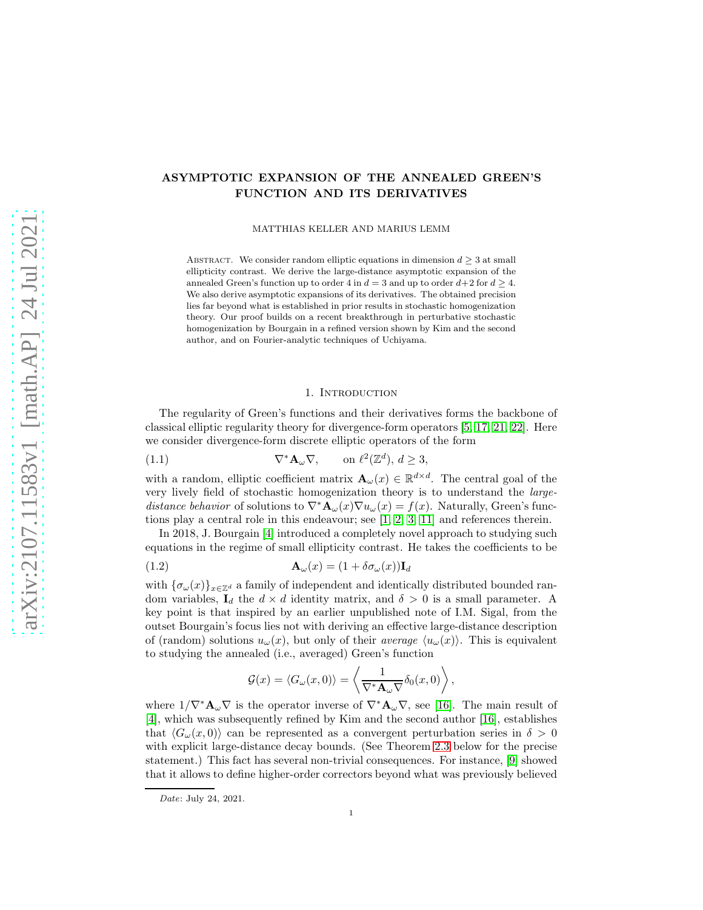# ASYMPTOTIC EXPANSION OF THE ANNEALED GREEN'S FUNCTION AND ITS DERIVATIVES

MATTHIAS KELLER AND MARIUS LEMM

ABSTRACT. We consider random elliptic equations in dimension  $d \geq 3$  at small ellipticity contrast. We derive the large-distance asymptotic expansion of the annealed Green's function up to order 4 in  $d = 3$  and up to order  $d+2$  for  $d \geq 4$ . We also derive asymptotic expansions of its derivatives. The obtained precision lies far beyond what is established in prior results in stochastic homogenization theory. Our proof builds on a recent breakthrough in perturbative stochastic homogenization by Bourgain in a refined version shown by Kim and the second author, and on Fourier-analytic techniques of Uchiyama.

#### <span id="page-0-0"></span>1. INTRODUCTION

The regularity of Green's functions and their derivatives forms the backbone of classical elliptic regularity theory for divergence-form operators [\[5,](#page-13-0) [17,](#page-14-0) [21,](#page-14-1) [22\]](#page-14-2). Here we consider divergence-form discrete elliptic operators of the form

(1.1) 
$$
\nabla^* \mathbf{A}_{\omega} \nabla, \quad \text{on } \ell^2(\mathbb{Z}^d), d \ge 3,
$$

with a random, elliptic coefficient matrix  $\mathbf{A}_{\omega}(x) \in \mathbb{R}^{d \times d}$ . The central goal of the very lively field of stochastic homogenization theory is to understand the largedistance behavior of solutions to  $\nabla^* \mathbf{A}_{\omega}(x) \nabla u_{\omega}(x) = f(x)$ . Naturally, Green's functions play a central role in this endeavour; see [\[1,](#page-13-1) [2,](#page-13-2) [3,](#page-13-3) [11\]](#page-14-3) and references therein.

In 2018, J. Bourgain [\[4\]](#page-13-4) introduced a completely novel approach to studying such equations in the regime of small ellipticity contrast. He takes the coefficients to be

(1.2) 
$$
\mathbf{A}_{\omega}(x) = (1 + \delta \sigma_{\omega}(x)) \mathbf{I}_{d}
$$

with  ${\{\sigma_\omega(x)\}}_{x\in\mathbb{Z}^d}$  a family of independent and identically distributed bounded random variables,  $I_d$  the  $d \times d$  identity matrix, and  $\delta > 0$  is a small parameter. A key point is that inspired by an earlier unpublished note of I.M. Sigal, from the outset Bourgain's focus lies not with deriving an effective large-distance description of (random) solutions  $u_{\omega}(x)$ , but only of their *average*  $\langle u_{\omega}(x)\rangle$ . This is equivalent to studying the annealed (i.e., averaged) Green's function

<span id="page-0-1"></span>
$$
\mathcal{G}(x) = \langle G_{\omega}(x,0) \rangle = \left\langle \frac{1}{\nabla^* \mathbf{A}_{\omega} \nabla} \delta_0(x,0) \right\rangle,
$$

where  $1/\nabla^*{\bf A}_\omega\nabla$  is the operator inverse of  $\nabla^*{\bf A}_\omega\nabla$ , see [\[16\]](#page-14-4). The main result of [\[4\]](#page-13-4), which was subsequently refined by Kim and the second author [\[16\]](#page-14-4), establishes that  $\langle G_{\omega}(x, 0) \rangle$  can be represented as a convergent perturbation series in  $\delta > 0$ with explicit large-distance decay bounds. (See Theorem [2.3](#page-3-0) below for the precise statement.) This fact has several non-trivial consequences. For instance, [\[9\]](#page-13-5) showed that it allows to define higher-order correctors beyond what was previously believed

Date: July 24, 2021.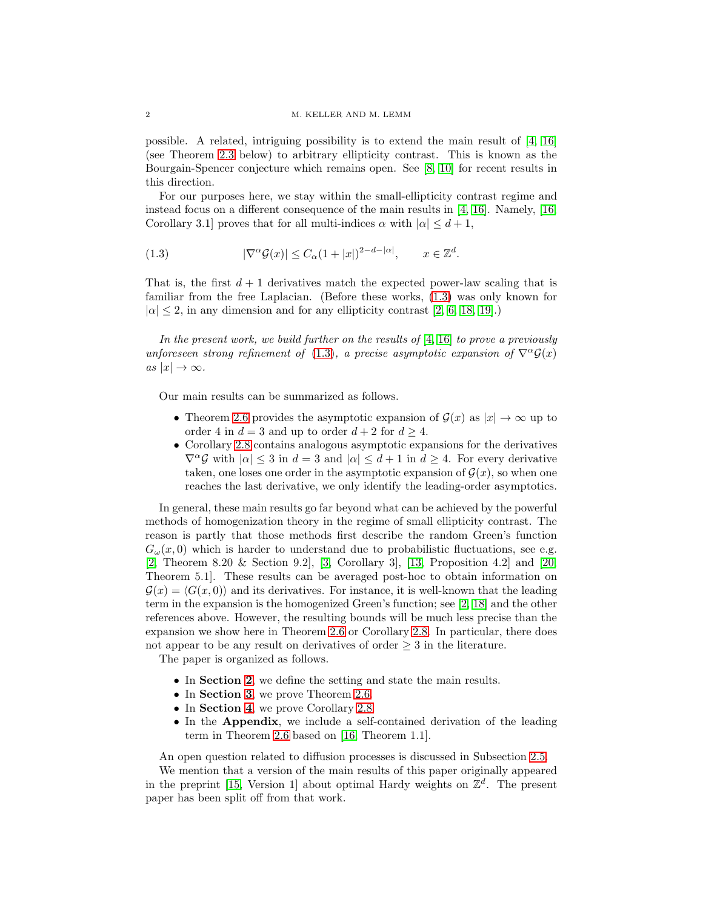possible. A related, intriguing possibility is to extend the main result of [\[4,](#page-13-4) [16\]](#page-14-4) (see Theorem [2.3](#page-3-0) below) to arbitrary ellipticity contrast. This is known as the Bourgain-Spencer conjecture which remains open. See [\[8,](#page-13-6) [10\]](#page-13-7) for recent results in this direction.

For our purposes here, we stay within the small-ellipticity contrast regime and instead focus on a different consequence of the main results in [\[4,](#page-13-4) [16\]](#page-14-4). Namely, [\[16,](#page-14-4) Corollary 3.1] proves that for all multi-indices  $\alpha$  with  $|\alpha| \leq d+1$ ,

<span id="page-1-0"></span>(1.3) 
$$
|\nabla^{\alpha} \mathcal{G}(x)| \leq C_{\alpha} (1+|x|)^{2-d-|\alpha|}, \qquad x \in \mathbb{Z}^{d}.
$$

That is, the first  $d+1$  derivatives match the expected power-law scaling that is familiar from the free Laplacian. (Before these works, [\(1.3\)](#page-1-0) was only known for  $|\alpha| \leq 2$ , in any dimension and for any ellipticity contrast [\[2,](#page-13-2) [6,](#page-13-8) [18,](#page-14-5) [19\]](#page-14-6).)

In the present work, we build further on the results of  $[4, 16]$  $[4, 16]$  to prove a previously unforeseen strong refinement of [\(1.3\)](#page-1-0), a precise asymptotic expansion of  $\nabla^{\alpha} \mathcal{G}(x)$ as  $|x| \to \infty$ .

Our main results can be summarized as follows.

- Theorem [2.6](#page-5-0) provides the asymptotic expansion of  $\mathcal{G}(x)$  as  $|x| \to \infty$  up to order 4 in  $d = 3$  and up to order  $d + 2$  for  $d \geq 4$ .
- Corollary [2.8](#page-6-0) contains analogous asymptotic expansions for the derivatives  $\nabla^{\alpha} \mathcal{G}$  with  $|\alpha| \leq 3$  in  $d = 3$  and  $|\alpha| \leq d+1$  in  $d \geq 4$ . For every derivative taken, one loses one order in the asymptotic expansion of  $\mathcal{G}(x)$ , so when one reaches the last derivative, we only identify the leading-order asymptotics.

In general, these main results go far beyond what can be achieved by the powerful methods of homogenization theory in the regime of small ellipticity contrast. The reason is partly that those methods first describe the random Green's function  $G_{\omega}(x,0)$  which is harder to understand due to probabilistic fluctuations, see e.g. [\[2,](#page-13-2) Theorem 8.20 & Section 9.2], [\[3,](#page-13-3) Corollary 3], [\[13,](#page-14-7) Proposition 4.2] and [\[20,](#page-14-8) Theorem 5.1]. These results can be averaged post-hoc to obtain information on  $\mathcal{G}(x) = \langle G(x, 0) \rangle$  and its derivatives. For instance, it is well-known that the leading term in the expansion is the homogenized Green's function; see [\[2,](#page-13-2) [18\]](#page-14-5) and the other references above. However, the resulting bounds will be much less precise than the expansion we show here in Theorem [2.6](#page-5-0) or Corollary [2.8.](#page-6-0) In particular, there does not appear to be any result on derivatives of order  $\geq 3$  in the literature.

The paper is organized as follows.

- In Section [2](#page-2-0), we define the setting and state the main results.
- In **Section [3](#page-7-0)**, we prove Theorem [2.6.](#page-5-0)
- In **Section [4](#page-11-0)**, we prove Corollary [2.8.](#page-6-0)
- In the Appendix, we include a self-contained derivation of the leading term in Theorem [2.6](#page-5-0) based on [\[16,](#page-14-4) Theorem 1.1].

An open question related to diffusion processes is discussed in Subsection [2.5.](#page-7-1)

We mention that a version of the main results of this paper originally appeared in the preprint [\[15,](#page-14-9) Version 1] about optimal Hardy weights on  $\mathbb{Z}^d$ . The present paper has been split off from that work.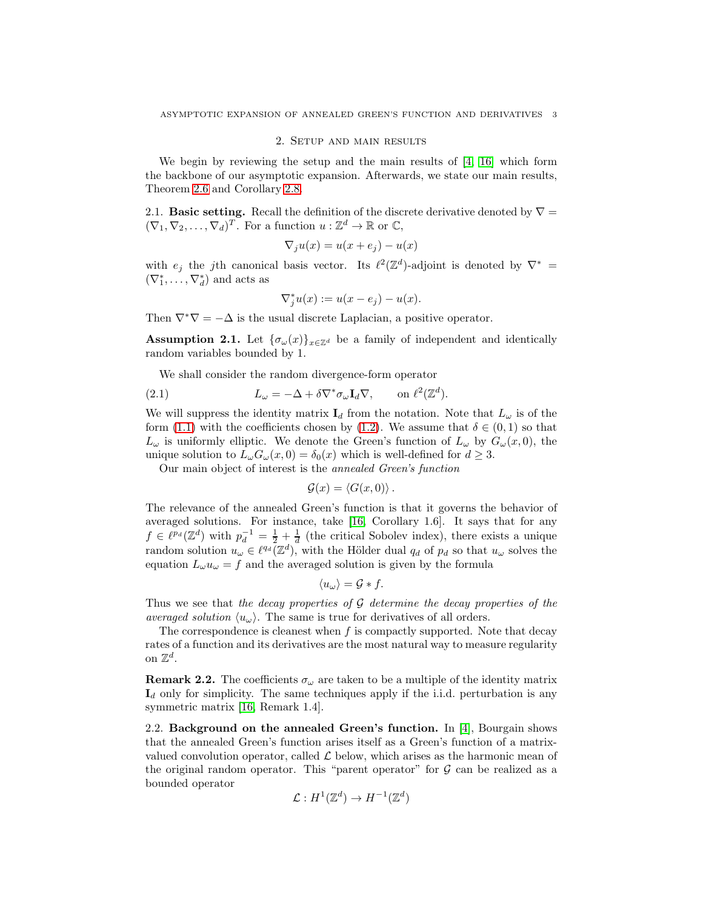# 2. Setup and main results

<span id="page-2-0"></span>We begin by reviewing the setup and the main results of [\[4,](#page-13-4) [16\]](#page-14-4) which form the backbone of our asymptotic expansion. Afterwards, we state our main results, Theorem [2.6](#page-5-0) and Corollary [2.8.](#page-6-0)

2.1. **Basic setting.** Recall the definition of the discrete derivative denoted by  $\nabla =$  $(\nabla_1, \nabla_2, \ldots, \nabla_d)^T$ . For a function  $u : \mathbb{Z}^d \to \mathbb{R}$  or  $\mathbb{C}$ ,

$$
\nabla_j u(x) = u(x + e_j) - u(x)
$$

with  $e_j$  the jth canonical basis vector. Its  $\ell^2(\mathbb{Z}^d)$ -adjoint is denoted by  $\nabla^*$  =  $(\nabla_1^*, \ldots, \nabla_d^*)$  and acts as

$$
\nabla_j^* u(x) := u(x - e_j) - u(x).
$$

Then  $\nabla^* \nabla = -\Delta$  is the usual discrete Laplacian, a positive operator.

<span id="page-2-1"></span>**Assumption 2.1.** Let  $\{\sigma_{\omega}(x)\}_{x \in \mathbb{Z}^d}$  be a family of independent and identically random variables bounded by 1.

We shall consider the random divergence-form operator

(2.1) 
$$
L_{\omega} = -\Delta + \delta \nabla^* \sigma_{\omega} \mathbf{I}_d \nabla, \quad \text{on } \ell^2(\mathbb{Z}^d).
$$

We will suppress the identity matrix  $I_d$  from the notation. Note that  $L_\omega$  is of the form [\(1.1\)](#page-0-0) with the coefficients chosen by [\(1.2\)](#page-0-1). We assume that  $\delta \in (0,1)$  so that  $L_{\omega}$  is uniformly elliptic. We denote the Green's function of  $L_{\omega}$  by  $G_{\omega}(x,0)$ , the unique solution to  $L_{\omega}G_{\omega}(x,0) = \delta_0(x)$  which is well-defined for  $d \geq 3$ .

Our main object of interest is the annealed Green's function

$$
\mathcal{G}(x) = \langle G(x,0) \rangle.
$$

The relevance of the annealed Green's function is that it governs the behavior of averaged solutions. For instance, take [\[16,](#page-14-4) Corollary 1.6]. It says that for any  $f \in \ell^{p_d}(\mathbb{Z}^d)$  with  $p_d^{-1} = \frac{1}{2} + \frac{1}{d}$  (the critical Sobolev index), there exists a unique random solution  $u_{\omega} \in \ell^{q_d}(\mathbb{Z}^d)$ , with the Hölder dual  $q_d$  of  $p_d$  so that  $u_{\omega}$  solves the equation  $L_{\omega}u_{\omega} = f$  and the averaged solution is given by the formula

$$
\langle u_\omega \rangle = \mathcal{G} * f.
$$

Thus we see that the decay properties of  $G$  determine the decay properties of the averaged solution  $\langle u_{\omega} \rangle$ . The same is true for derivatives of all orders.

The correspondence is cleanest when  $f$  is compactly supported. Note that decay rates of a function and its derivatives are the most natural way to measure regularity on  $\mathbb{Z}^d$ .

**Remark 2.2.** The coefficients  $\sigma_{\omega}$  are taken to be a multiple of the identity matrix  $I_d$  only for simplicity. The same techniques apply if the i.i.d. perturbation is any symmetric matrix [\[16,](#page-14-4) Remark 1.4].

2.2. Background on the annealed Green's function. In [\[4\]](#page-13-4), Bourgain shows that the annealed Green's function arises itself as a Green's function of a matrixvalued convolution operator, called  $\mathcal L$  below, which arises as the harmonic mean of the original random operator. This "parent operator" for  $\mathcal G$  can be realized as a bounded operator

$$
\mathcal{L}: H^1(\mathbb{Z}^d) \to H^{-1}(\mathbb{Z}^d)
$$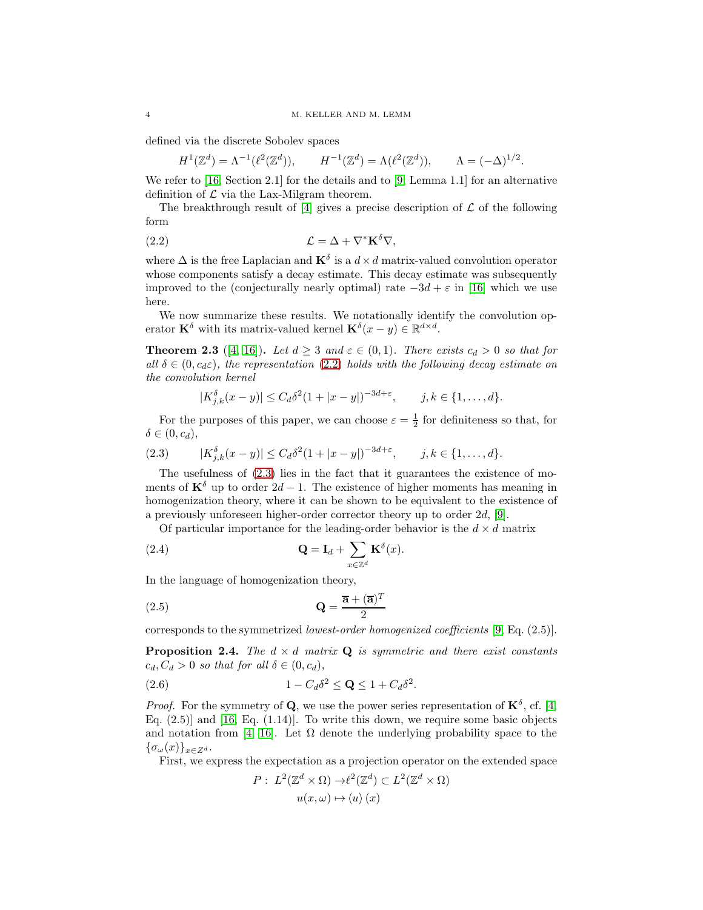defined via the discrete Sobolev spaces

<span id="page-3-1"></span>
$$
H^{1}(\mathbb{Z}^{d}) = \Lambda^{-1}(\ell^{2}(\mathbb{Z}^{d})), \qquad H^{-1}(\mathbb{Z}^{d}) = \Lambda(\ell^{2}(\mathbb{Z}^{d})), \qquad \Lambda = (-\Delta)^{1/2}.
$$

We refer to [\[16,](#page-14-4) Section 2.1] for the details and to [\[9,](#page-13-5) Lemma 1.1] for an alternative definition of  $\mathcal L$  via the Lax-Milgram theorem.

The breakthrough result of  $[4]$  gives a precise description of  $\mathcal L$  of the following form

(2.2) 
$$
\mathcal{L} = \Delta + \nabla^* \mathbf{K}^\delta \nabla,
$$

where  $\Delta$  is the free Laplacian and  $\mathbf{K}^{\delta}$  is a  $d \times d$  matrix-valued convolution operator whose components satisfy a decay estimate. This decay estimate was subsequently improved to the (conjecturally nearly optimal) rate  $-3d + \varepsilon$  in [\[16\]](#page-14-4) which we use here.

We now summarize these results. We notationally identify the convolution operator  $\mathbf{K}^{\delta}$  with its matrix-valued kernel  $\mathbf{K}^{\delta}(x-y) \in \mathbb{R}^{d \times d}$ .

<span id="page-3-0"></span>**Theorem 2.3** ([\[4,](#page-13-4) [16\]](#page-14-4)). Let  $d \geq 3$  and  $\varepsilon \in (0,1)$ . There exists  $c_d > 0$  so that for all  $\delta \in (0, c_d \varepsilon)$ , the representation [\(2.2\)](#page-3-1) holds with the following decay estimate on the convolution kernel

$$
|K_{j,k}^{\delta}(x-y)| \leq C_d \delta^2 (1+|x-y|)^{-3d+\varepsilon}, \qquad j,k \in \{1,\ldots,d\}.
$$

For the purposes of this paper, we can choose  $\varepsilon = \frac{1}{2}$  for definiteness so that, for  $\delta \in (0, c_d),$ 

<span id="page-3-2"></span>(2.3) 
$$
|K_{j,k}^{\delta}(x-y)| \leq C_d \delta^2 (1+|x-y|)^{-3d+\varepsilon}, \quad j,k \in \{1,\ldots,d\}.
$$

The usefulness of [\(2.3\)](#page-3-2) lies in the fact that it guarantees the existence of moments of  $\mathbf{K}^{\delta}$  up to order  $2d - 1$ . The existence of higher moments has meaning in homogenization theory, where it can be shown to be equivalent to the existence of a previously unforeseen higher-order corrector theory up to order 2d, [\[9\]](#page-13-5).

<span id="page-3-3"></span>Of particular importance for the leading-order behavior is the  $d \times d$  matrix

(2.4) 
$$
\mathbf{Q} = \mathbf{I}_d + \sum_{x \in \mathbb{Z}^d} \mathbf{K}^{\delta}(x).
$$

In the language of homogenization theory,

$$
\mathbf{Q} = \frac{\overline{\mathbf{a}} + (\overline{\mathbf{a}})^T}{2}
$$

corresponds to the symmetrized lowest-order homogenized coefficients [\[9,](#page-13-5) Eq. (2.5)].

<span id="page-3-5"></span>**Proposition 2.4.** The  $d \times d$  matrix **Q** is symmetric and there exist constants  $c_d, C_d > 0$  so that for all  $\delta \in (0, c_d)$ ,

$$
(2.6) \t\t\t 1 - C_d \delta^2 \leq \mathbf{Q} \leq 1 + C_d \delta^2.
$$

*Proof.* For the symmetry of **Q**, we use the power series representation of  $\mathbf{K}^{\delta}$ , cf. [\[4,](#page-13-4) Eq.  $(2.5)$ ] and [\[16,](#page-14-4) Eq.  $(1.14)$ ]. To write this down, we require some basic objects and notation from [\[4,](#page-13-4) [16\]](#page-14-4). Let  $\Omega$  denote the underlying probability space to the  ${\{\sigma_\omega(x)\}}_{x\in Z^d}$ .

First, we express the expectation as a projection operator on the extended space

<span id="page-3-4"></span>
$$
P: L^2(\mathbb{Z}^d \times \Omega) \to \ell^2(\mathbb{Z}^d) \subset L^2(\mathbb{Z}^d \times \Omega)
$$

$$
u(x,\omega) \mapsto \langle u \rangle(x)
$$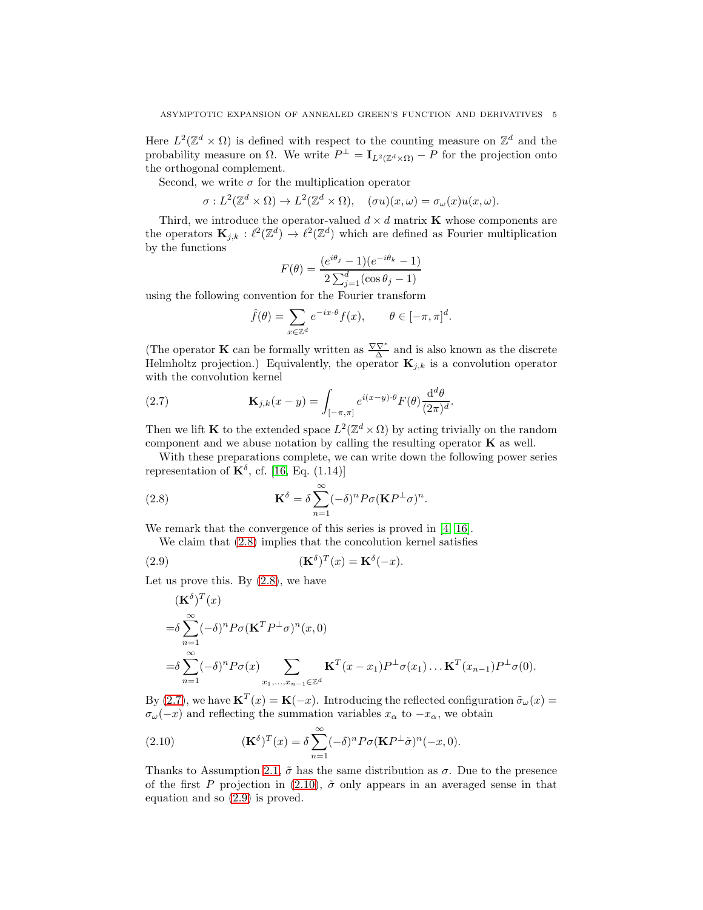Here  $L^2(\mathbb{Z}^d \times \Omega)$  is defined with respect to the counting measure on  $\mathbb{Z}^d$  and the probability measure on  $\Omega$ . We write  $P^{\perp} = I_{L^2(\mathbb{Z}^d \times \Omega)} - P$  for the projection onto the orthogonal complement.

Second, we write  $\sigma$  for the multiplication operator

$$
\sigma: L^2(\mathbb{Z}^d \times \Omega) \to L^2(\mathbb{Z}^d \times \Omega), \quad (\sigma u)(x,\omega) = \sigma_\omega(x)u(x,\omega).
$$

Third, we introduce the operator-valued  $d \times d$  matrix **K** whose components are the operators  $\mathbf{K}_{j,k} : \ell^2(\mathbb{Z}^d) \to \ell^2(\mathbb{Z}^d)$  which are defined as Fourier multiplication by the functions

$$
F(\theta) = \frac{(e^{i\theta_j} - 1)(e^{-i\theta_k} - 1)}{2\sum_{j=1}^d (\cos \theta_j - 1)}
$$

using the following convention for the Fourier transform

<span id="page-4-1"></span>
$$
\hat{f}(\theta) = \sum_{x \in \mathbb{Z}^d} e^{-ix \cdot \theta} f(x), \qquad \theta \in [-\pi, \pi]^d.
$$

(The operator **K** can be formally written as  $\frac{\nabla \nabla^*}{\Delta}$  and is also known as the discrete Helmholtz projection.) Equivalently, the operator  $\mathbf{K}_{j,k}$  is a convolution operator with the convolution kernel

(2.7) 
$$
\mathbf{K}_{j,k}(x-y) = \int_{[-\pi,\pi]} e^{i(x-y)\cdot\theta} F(\theta) \frac{\mathrm{d}^d\theta}{(2\pi)^d}.
$$

Then we lift **K** to the extended space  $L^2(\mathbb{Z}^d \times \Omega)$  by acting trivially on the random component and we abuse notation by calling the resulting operator  $\bf{K}$  as well.

With these preparations complete, we can write down the following power series representation of  $\mathbf{K}^{\delta}$ , cf. [\[16,](#page-14-4) Eq. (1.14)]

(2.8) 
$$
\mathbf{K}^{\delta} = \delta \sum_{n=1}^{\infty} (-\delta)^n P \sigma (\mathbf{K} P^{\perp} \sigma)^n.
$$

We remark that the convergence of this series is proved in [\[4,](#page-13-4) [16\]](#page-14-4).

<span id="page-4-0"></span>We claim that [\(2.8\)](#page-4-0) implies that the concolution kernel satisfies

(2.9) 
$$
(\mathbf{K}^{\delta})^T(x) = \mathbf{K}^{\delta}(-x).
$$

Let us prove this. By  $(2.8)$ , we have

<span id="page-4-3"></span>
$$
(\mathbf{K}^{\delta})^{T}(x)
$$
  
\n
$$
= \delta \sum_{n=1}^{\infty} (-\delta)^{n} P \sigma (\mathbf{K}^{T} P^{\perp} \sigma)^{n}(x, 0)
$$
  
\n
$$
= \delta \sum_{n=1}^{\infty} (-\delta)^{n} P \sigma(x) \sum_{x_{1},...,x_{n-1} \in \mathbb{Z}^{d}} \mathbf{K}^{T}(x - x_{1}) P^{\perp} \sigma(x_{1}) ... \mathbf{K}^{T}(x_{n-1}) P^{\perp} \sigma(0).
$$

By [\(2.7\)](#page-4-1), we have  $\mathbf{K}^{T}(x) = \mathbf{K}(-x)$ . Introducing the reflected configuration  $\tilde{\sigma}_{\omega}(x) =$  $\sigma_{\omega}(-x)$  and reflecting the summation variables  $x_{\alpha}$  to  $-x_{\alpha}$ , we obtain

<span id="page-4-2"></span>(2.10) 
$$
(\mathbf{K}^{\delta})^T(x) = \delta \sum_{n=1}^{\infty} (-\delta)^n P \sigma (\mathbf{K} P^{\perp} \tilde{\sigma})^n (-x, 0).
$$

Thanks to Assumption [2.1,](#page-2-1)  $\tilde{\sigma}$  has the same distribution as  $\sigma$ . Due to the presence of the first P projection in [\(2.10\)](#page-4-2),  $\tilde{\sigma}$  only appears in an averaged sense in that equation and so [\(2.9\)](#page-4-3) is proved.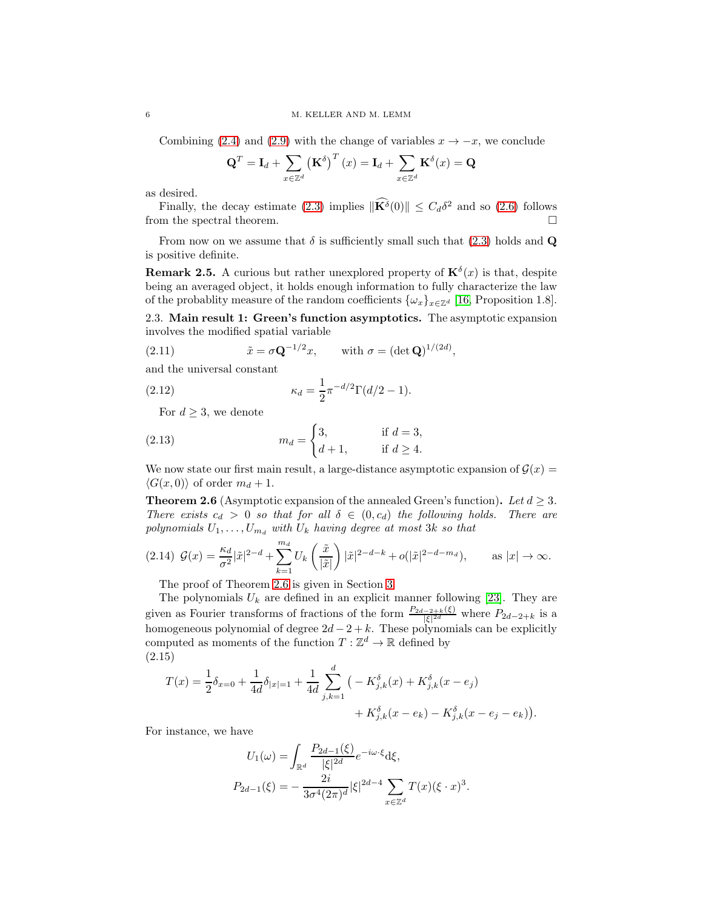Combining [\(2.4\)](#page-3-3) and [\(2.9\)](#page-4-3) with the change of variables  $x \to -x$ , we conclude

$$
\mathbf{Q}^T = \mathbf{I}_d + \sum_{x \in \mathbb{Z}^d} \left(\mathbf{K}^\delta\right)^T(x) = \mathbf{I}_d + \sum_{x \in \mathbb{Z}^d} \mathbf{K}^\delta(x) = \mathbf{Q}
$$

as desired.

Finally, the decay estimate [\(2.3\)](#page-3-2) implies  $\|\mathbf{K}^{\delta}(0)\| \leq C_d \delta^2$  and so [\(2.6\)](#page-3-4) follows from the spectral theorem.  $\Box$ 

From now on we assume that  $\delta$  is sufficiently small such that [\(2.3\)](#page-3-2) holds and Q is positive definite.

**Remark 2.5.** A curious but rather unexplored property of  $\mathbf{K}^{\delta}(x)$  is that, despite being an averaged object, it holds enough information to fully characterize the law of the probablity measure of the random coefficients  $\{\omega_x\}_{x\in\mathbb{Z}^d}$  [\[16,](#page-14-4) Proposition 1.8].

2.3. Main result 1: Green's function asymptotics. The asymptotic expansion involves the modified spatial variable

<span id="page-5-2"></span>(2.11) 
$$
\tilde{x} = \sigma \mathbf{Q}^{-1/2} x, \quad \text{with } \sigma = (\det \mathbf{Q})^{1/(2d)},
$$

and the universal constant

(2.12) 
$$
\kappa_d = \frac{1}{2} \pi^{-d/2} \Gamma(d/2 - 1).
$$

<span id="page-5-3"></span>For  $d \geq 3$ , we denote

(2.13) 
$$
m_d = \begin{cases} 3, & \text{if } d = 3, \\ d+1, & \text{if } d \ge 4. \end{cases}
$$

We now state our first main result, a large-distance asymptotic expansion of  $\mathcal{G}(x)$  =  $\langle G(x, 0) \rangle$  of order  $m_d + 1$ .

<span id="page-5-0"></span>**Theorem 2.6** (Asymptotic expansion of the annealed Green's function). Let  $d > 3$ . There exists  $c_d > 0$  so that for all  $\delta \in (0, c_d)$  the following holds. There are polynomials  $U_1, \ldots, U_{m_d}$  with  $U_k$  having degree at most 3k so that

<span id="page-5-1"></span>
$$
(2.14) \mathcal{G}(x) = \frac{\kappa_d}{\sigma^2} |\tilde{x}|^{2-d} + \sum_{k=1}^{m_d} U_k \left(\frac{\tilde{x}}{|\tilde{x}|}\right) |\tilde{x}|^{2-d-k} + o(|\tilde{x}|^{2-d-m_d}), \quad \text{as } |x| \to \infty.
$$

The proof of Theorem [2.6](#page-5-0) is given in Section [3.](#page-7-0)

The polynomials  $U_k$  are defined in an explicit manner following [\[23\]](#page-14-10). They are given as Fourier transforms of fractions of the form  $\frac{P_{2d-2+k}(\xi)}{|\xi|^{2d}}$  where  $P_{2d-2+k}$  is a homogeneous polynomial of degree  $2d - 2 + k$ . These polynomials can be explicitly computed as moments of the function  $T: \mathbb{Z}^d \to \mathbb{R}$  defined by (2.15)

<span id="page-5-4"></span>
$$
T(x) = \frac{1}{2}\delta_{x=0} + \frac{1}{4d}\delta_{|x|=1} + \frac{1}{4d}\sum_{j,k=1}^{d} \left( -K_{j,k}^{\delta}(x) + K_{j,k}^{\delta}(x - e_j) + K_{j,k}^{\delta}(x - e_k) - K_{j,k}^{\delta}(x - e_j - e_k) \right).
$$

For instance, we have

$$
U_1(\omega) = \int_{\mathbb{R}^d} \frac{P_{2d-1}(\xi)}{|\xi|^{2d}} e^{-i\omega \cdot \xi} d\xi,
$$
  

$$
P_{2d-1}(\xi) = -\frac{2i}{3\sigma^4 (2\pi)^d} |\xi|^{2d-4} \sum_{x \in \mathbb{Z}^d} T(x) (\xi \cdot x)^3.
$$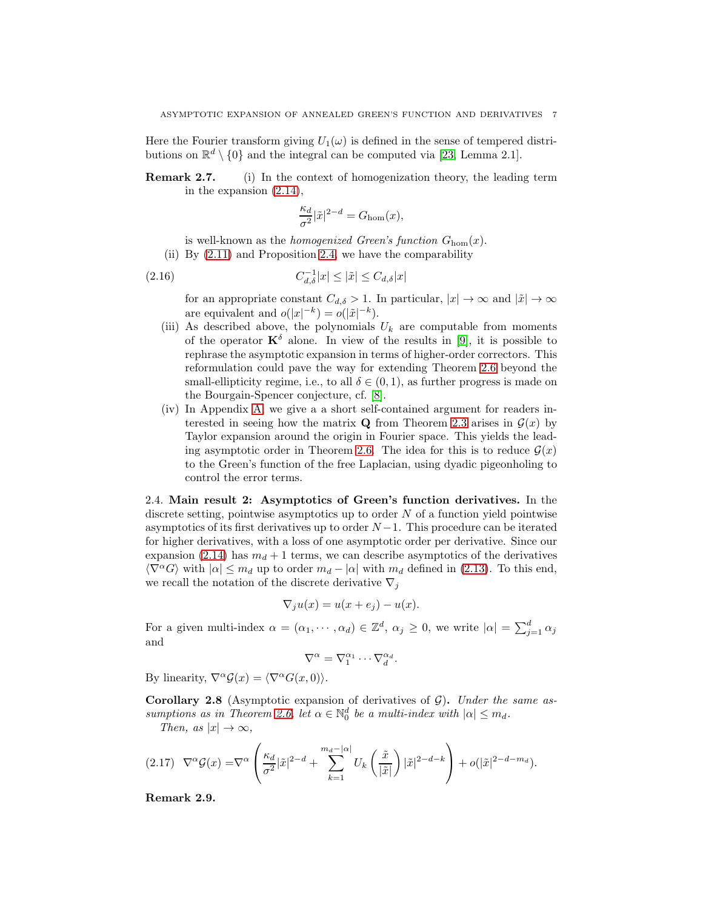Here the Fourier transform giving  $U_1(\omega)$  is defined in the sense of tempered distributions on  $\mathbb{R}^d \setminus \{0\}$  and the integral can be computed via [\[23,](#page-14-10) Lemma 2.1].

Remark 2.7. (i) In the context of homogenization theory, the leading term in the expansion [\(2.14\)](#page-5-1),

<span id="page-6-2"></span>
$$
\frac{\kappa_d}{\sigma^2}|\tilde{x}|^{2-d}=G_{\rm hom}(x),
$$

is well-known as the *homogenized Green's function*  $G_{\text{hom}}(x)$ .

(ii) By [\(2.11\)](#page-5-2) and Proposition [2.4,](#page-3-5) we have the comparability

$$
(2.16)\qquad \qquad C_{d,\delta}^{-1}|x| \le |\tilde{x}| \le C_{d,\delta}|x|
$$

for an appropriate constant  $C_{d,\delta} > 1$ . In particular,  $|x| \to \infty$  and  $|\tilde{x}| \to \infty$ are equivalent and  $o(|x|^{-k}) = o(|\tilde{x}|^{-k}).$ 

- (iii) As described above, the polynomials  $U_k$  are computable from moments of the operator  $\mathbf{K}^{\delta}$  alone. In view of the results in [\[9\]](#page-13-5), it is possible to rephrase the asymptotic expansion in terms of higher-order correctors. This reformulation could pave the way for extending Theorem [2.6](#page-5-0) beyond the small-ellipticity regime, i.e., to all  $\delta \in (0,1)$ , as further progress is made on the Bourgain-Spencer conjecture, cf. [\[8\]](#page-13-6).
- (iv) In Appendix [A,](#page-11-1) we give a a short self-contained argument for readers interested in seeing how the matrix **Q** from Theorem [2.3](#page-3-0) arises in  $\mathcal{G}(x)$  by Taylor expansion around the origin in Fourier space. This yields the lead-ing asymptotic order in Theorem [2.6.](#page-5-0) The idea for this is to reduce  $\mathcal{G}(x)$ to the Green's function of the free Laplacian, using dyadic pigeonholing to control the error terms.

2.4. Main result 2: Asymptotics of Green's function derivatives. In the discrete setting, pointwise asymptotics up to order  $N$  of a function yield pointwise asymptotics of its first derivatives up to order  $N-1$ . This procedure can be iterated for higher derivatives, with a loss of one asymptotic order per derivative. Since our expansion [\(2.14\)](#page-5-1) has  $m_d + 1$  terms, we can describe asymptotics of the derivatives  $\langle \nabla^{\alpha} G \rangle$  with  $|\alpha| \leq m_d$  up to order  $m_d - |\alpha|$  with  $m_d$  defined in [\(2.13\)](#page-5-3). To this end, we recall the notation of the discrete derivative  $\nabla_i$ 

$$
\nabla_j u(x) = u(x + e_j) - u(x).
$$

For a given multi-index  $\alpha = (\alpha_1, \dots, \alpha_d) \in \mathbb{Z}^d$ ,  $\alpha_j \geq 0$ , we write  $|\alpha| = \sum_{j=1}^d \alpha_j$ and

$$
\nabla^{\alpha} = \nabla_1^{\alpha_1} \cdots \nabla_d^{\alpha_d}.
$$

By linearity,  $\nabla^{\alpha} \mathcal{G}(x) = \langle \nabla^{\alpha} G(x, 0) \rangle$ .

<span id="page-6-0"></span>**Corollary 2.8** (Asymptotic expansion of derivatives of  $\mathcal{G}$ ). Under the same as-sumptions as in Theorem [2.6,](#page-5-0) let  $\alpha \in \mathbb{N}_0^d$  be a multi-index with  $|\alpha| \leq m_d$ .

Then, as  $|x| \to \infty$ ,

<span id="page-6-1"></span>
$$
(2.17)\quad \nabla^{\alpha}\mathcal{G}(x) = \nabla^{\alpha}\left(\frac{\kappa_d}{\sigma^2}|\tilde{x}|^{2-d} + \sum_{k=1}^{m_d - |\alpha|} U_k\left(\frac{\tilde{x}}{|\tilde{x}|}\right)|\tilde{x}|^{2-d-k}\right) + o(|\tilde{x}|^{2-d-m_d}).
$$

Remark 2.9.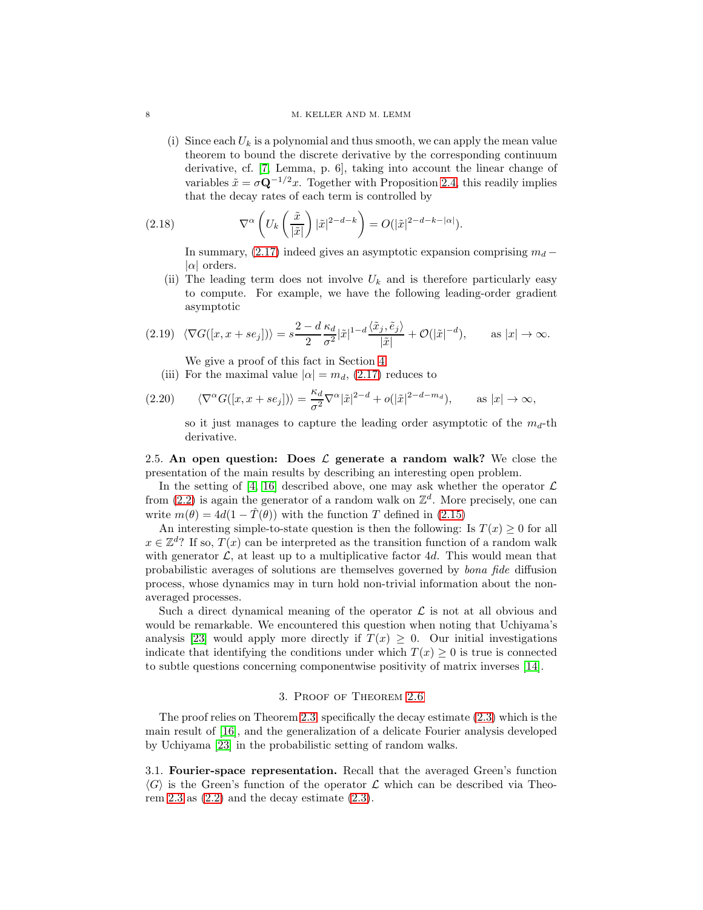#### 8 M. KELLER AND M. LEMM

(i) Since each  $U_k$  is a polynomial and thus smooth, we can apply the mean value theorem to bound the discrete derivative by the corresponding continuum derivative, cf. [\[7,](#page-13-9) Lemma, p. 6], taking into account the linear change of variables  $\tilde{x} = \sigma \mathbf{Q}^{-1/2}x$ . Together with Proposition [2.4,](#page-3-5) this readily implies that the decay rates of each term is controlled by

(2.18) 
$$
\nabla^{\alpha} \left( U_k \left( \frac{\tilde{x}}{|\tilde{x}|} \right) |\tilde{x}|^{2-d-k} \right) = O(|\tilde{x}|^{2-d-k-|\alpha|}).
$$

<span id="page-7-3"></span>In summary, [\(2.17\)](#page-6-1) indeed gives an asymptotic expansion comprising  $m_d$  –  $|\alpha|$  orders.

(ii) The leading term does not involve  $U_k$  and is therefore particularly easy to compute. For example, we have the following leading-order gradient asymptotic

$$
(2.19)\ \langle \nabla G([x,x+se_j]) \rangle = s \frac{2-d}{2} \frac{\kappa_d}{\sigma^2} |\tilde{x}|^{1-d} \frac{\langle \tilde{x}_j, \tilde{e}_j \rangle}{|\tilde{x}|} + \mathcal{O}(|\tilde{x}|^{-d}), \quad \text{as } |x| \to \infty.
$$

- <span id="page-7-2"></span>We give a proof of this fact in Section [4.](#page-11-0)
- (iii) For the maximal value  $|\alpha| = m_d$ , [\(2.17\)](#page-6-1) reduces to

(2.20) 
$$
\langle \nabla^{\alpha} G([x, x + s e_j]) \rangle = \frac{\kappa_d}{\sigma^2} \nabla^{\alpha} |\tilde{x}|^{2-d} + o(|\tilde{x}|^{2-d-m_d}), \quad \text{as } |x| \to \infty,
$$

so it just manages to capture the leading order asymptotic of the  $m_d$ -th derivative.

<span id="page-7-1"></span>2.5. An open question: Does  $\mathcal L$  generate a random walk? We close the presentation of the main results by describing an interesting open problem.

In the setting of [\[4,](#page-13-4) [16\]](#page-14-4) described above, one may ask whether the operator  $\mathcal L$ from  $(2.2)$  is again the generator of a random walk on  $\mathbb{Z}^d$ . More precisely, one can write  $m(\theta) = 4d(1 - \hat{T}(\theta))$  with the function T defined in [\(2.15\)](#page-5-4)

An interesting simple-to-state question is then the following: Is  $T(x) \geq 0$  for all  $x \in \mathbb{Z}^d$ ? If so,  $T(x)$  can be interpreted as the transition function of a random walk with generator  $\mathcal{L}$ , at least up to a multiplicative factor 4d. This would mean that probabilistic averages of solutions are themselves governed by bona fide diffusion process, whose dynamics may in turn hold non-trivial information about the nonaveraged processes.

Such a direct dynamical meaning of the operator  $\mathcal L$  is not at all obvious and would be remarkable. We encountered this question when noting that Uchiyama's analysis [\[23\]](#page-14-10) would apply more directly if  $T(x) \geq 0$ . Our initial investigations indicate that identifying the conditions under which  $T(x) \geq 0$  is true is connected to subtle questions concerning componentwise positivity of matrix inverses [\[14\]](#page-14-11).

### 3. Proof of Theorem [2.6](#page-5-0)

<span id="page-7-0"></span>The proof relies on Theorem [2.3,](#page-3-0) specifically the decay estimate [\(2.3\)](#page-3-2) which is the main result of [\[16\]](#page-14-4), and the generalization of a delicate Fourier analysis developed by Uchiyama [\[23\]](#page-14-10) in the probabilistic setting of random walks.

3.1. Fourier-space representation. Recall that the averaged Green's function  $\langle G \rangle$  is the Green's function of the operator L which can be described via Theo-rem [2.3](#page-3-0) as  $(2.2)$  and the decay estimate  $(2.3)$ .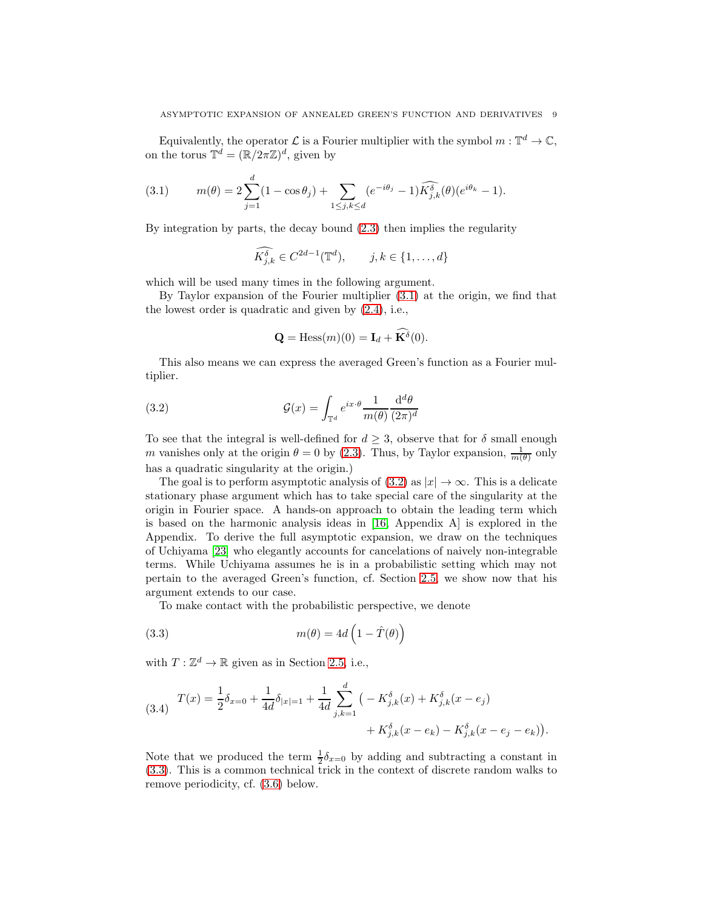Equivalently, the operator  $\mathcal L$  is a Fourier multiplier with the symbol  $m: \mathbb T^d \to \mathbb C$ , on the torus  $\mathbb{T}^d = (\mathbb{R}/2\pi\mathbb{Z})^d$ , given by

<span id="page-8-0"></span>(3.1) 
$$
m(\theta) = 2 \sum_{j=1}^{d} (1 - \cos \theta_j) + \sum_{1 \le j, k \le d} (e^{-i\theta_j} - 1) \widehat{K}_{j,k}^{\delta}(\theta) (e^{i\theta_k} - 1).
$$

By integration by parts, the decay bound [\(2.3\)](#page-3-2) then implies the regularity

$$
\widehat{K_{j,k}^{\delta}} \in C^{2d-1}(\mathbb{T}^d), \qquad j,k \in \{1,\ldots,d\}
$$

which will be used many times in the following argument.

By Taylor expansion of the Fourier multiplier [\(3.1\)](#page-8-0) at the origin, we find that the lowest order is quadratic and given by [\(2.4\)](#page-3-3), i.e.,

<span id="page-8-1"></span>
$$
\mathbf{Q} = \text{Hess}(m)(0) = \mathbf{I}_d + \widehat{\mathbf{K}}^{\delta}(0).
$$

This also means we can express the averaged Green's function as a Fourier multiplier.

(3.2) 
$$
\mathcal{G}(x) = \int_{\mathbb{T}^d} e^{ix \cdot \theta} \frac{1}{m(\theta)} \frac{\mathrm{d}^d \theta}{(2\pi)^d}
$$

To see that the integral is well-defined for  $d > 3$ , observe that for  $\delta$  small enough m vanishes only at the origin  $\theta = 0$  by [\(2.3\)](#page-3-2). Thus, by Taylor expansion,  $\frac{1}{m(\theta)}$  only has a quadratic singularity at the origin.)

The goal is to perform asymptotic analysis of  $(3.2)$  as  $|x| \to \infty$ . This is a delicate stationary phase argument which has to take special care of the singularity at the origin in Fourier space. A hands-on approach to obtain the leading term which is based on the harmonic analysis ideas in [\[16,](#page-14-4) Appendix A] is explored in the Appendix. To derive the full asymptotic expansion, we draw on the techniques of Uchiyama [\[23\]](#page-14-10) who elegantly accounts for cancelations of naively non-integrable terms. While Uchiyama assumes he is in a probabilistic setting which may not pertain to the averaged Green's function, cf. Section [2.5,](#page-7-1) we show now that his argument extends to our case.

<span id="page-8-2"></span>To make contact with the probabilistic perspective, we denote

(3.3) 
$$
m(\theta) = 4d\left(1 - \hat{T}(\theta)\right)
$$

with  $T: \mathbb{Z}^d \to \mathbb{R}$  given as in Section [2.5,](#page-7-1) i.e.,

<span id="page-8-3"></span>
$$
(3.4) \quad T(x) = \frac{1}{2}\delta_{x=0} + \frac{1}{4d}\delta_{|x|=1} + \frac{1}{4d}\sum_{j,k=1}^d \left(-K_{j,k}^{\delta}(x) + K_{j,k}^{\delta}(x - e_j) + K_{j,k}^{\delta}(x - e_k) - K_{j,k}^{\delta}(x - e_j - e_k)\right).
$$

Note that we produced the term  $\frac{1}{2}\delta_{x=0}$  by adding and subtracting a constant in [\(3.3\)](#page-8-2). This is a common technical trick in the context of discrete random walks to remove periodicity, cf. [\(3.6\)](#page-9-0) below.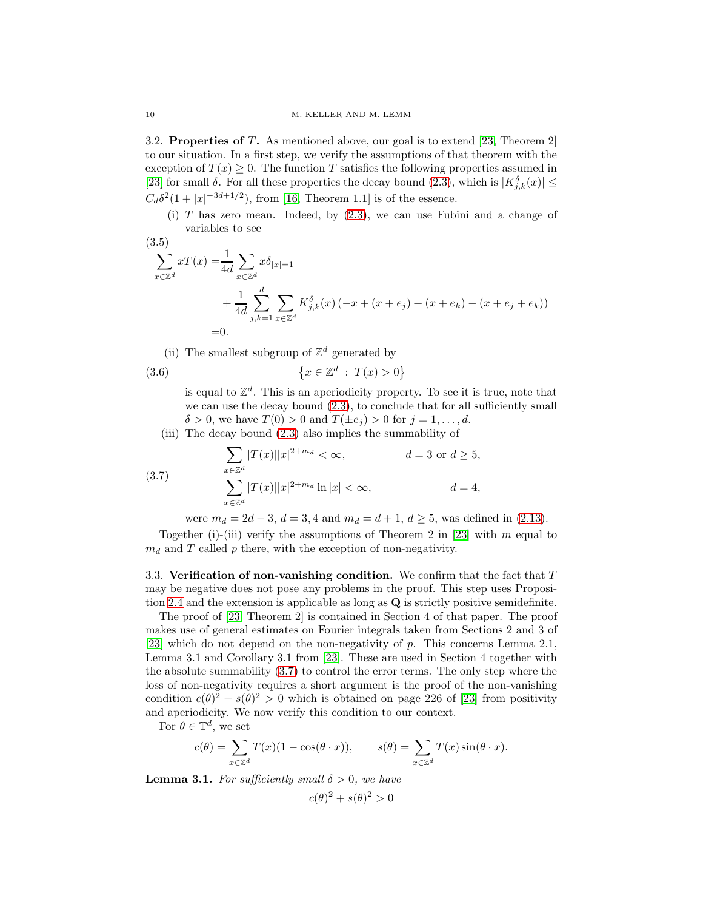3.2. Properties of T. As mentioned above, our goal is to extend [\[23,](#page-14-10) Theorem 2] to our situation. In a first step, we verify the assumptions of that theorem with the exception of  $T(x) \geq 0$ . The function T satisfies the following properties assumed in [\[23\]](#page-14-10) for small  $\delta$ . For all these properties the decay bound [\(2.3\)](#page-3-2), which is  $|K^{\delta}_{j,k}(x)| \leq$  $C_d \delta^2 (1+|x|^{-3d+1/2})$ , from [\[16,](#page-14-4) Theorem 1.1] is of the essence.

(i)  $T$  has zero mean. Indeed, by  $(2.3)$ , we can use Fubini and a change of variables to see

$$
(3.5)
$$

<span id="page-9-2"></span>
$$
\sum_{x \in \mathbb{Z}^d} xT(x) = \frac{1}{4d} \sum_{x \in \mathbb{Z}^d} x\delta_{|x|=1}
$$
  
+ 
$$
\frac{1}{4d} \sum_{j,k=1}^d \sum_{x \in \mathbb{Z}^d} K_{j,k}^{\delta}(x) (-x + (x + e_j) + (x + e_k) - (x + e_j + e_k))
$$
  
= 0.

(ii) The smallest subgroup of  $\mathbb{Z}^d$  generated by

(3.6) 
$$
\{x \in \mathbb{Z}^d : T(x) > 0\}
$$

<span id="page-9-0"></span>is equal to  $\mathbb{Z}^d$ . This is an aperiodicity property. To see it is true, note that we can use the decay bound  $(2.3)$ , to conclude that for all sufficiently small  $\delta > 0$ , we have  $T(0) > 0$  and  $T(\pm e_i) > 0$  for  $j = 1, \ldots, d$ .

(iii) The decay bound [\(2.3\)](#page-3-2) also implies the summability of

(3.7) 
$$
\sum_{x \in \mathbb{Z}^d} |T(x)||x|^{2+m_d} < \infty, \qquad d = 3 \text{ or } d \ge 5,
$$

$$
\sum_{x \in \mathbb{Z}^d} |T(x)||x|^{2+m_d} \ln|x| < \infty, \qquad d = 4,
$$

<span id="page-9-1"></span>were  $m_d = 2d - 3$ ,  $d = 3$ , 4 and  $m_d = d + 1$ ,  $d \geq 5$ , was defined in [\(2.13\)](#page-5-3).

Together (i)-(iii) verify the assumptions of Theorem 2 in [\[23\]](#page-14-10) with  $m$  equal to  $m_d$  and T called p there, with the exception of non-negativity.

3.3. Verification of non-vanishing condition. We confirm that the fact that  $T$ may be negative does not pose any problems in the proof. This step uses Proposition [2.4](#page-3-5) and the extension is applicable as long as Q is strictly positive semidefinite.

The proof of [\[23,](#page-14-10) Theorem 2] is contained in Section 4 of that paper. The proof makes use of general estimates on Fourier integrals taken from Sections 2 and 3 of [\[23\]](#page-14-10) which do not depend on the non-negativity of p. This concerns Lemma 2.1, Lemma 3.1 and Corollary 3.1 from [\[23\]](#page-14-10). These are used in Section 4 together with the absolute summability [\(3.7\)](#page-9-1) to control the error terms. The only step where the loss of non-negativity requires a short argument is the proof of the non-vanishing condition  $c(\theta)^2 + s(\theta)^2 > 0$  which is obtained on page 226 of [\[23\]](#page-14-10) from positivity and aperiodicity. We now verify this condition to our context.

For  $\theta \in \mathbb{T}^d$ , we set

$$
c(\theta) = \sum_{x \in \mathbb{Z}^d} T(x)(1 - \cos(\theta \cdot x)), \qquad s(\theta) = \sum_{x \in \mathbb{Z}^d} T(x)\sin(\theta \cdot x).
$$

<span id="page-9-3"></span>**Lemma 3.1.** For sufficiently small  $\delta > 0$ , we have

$$
c(\theta)^2 + s(\theta)^2 > 0
$$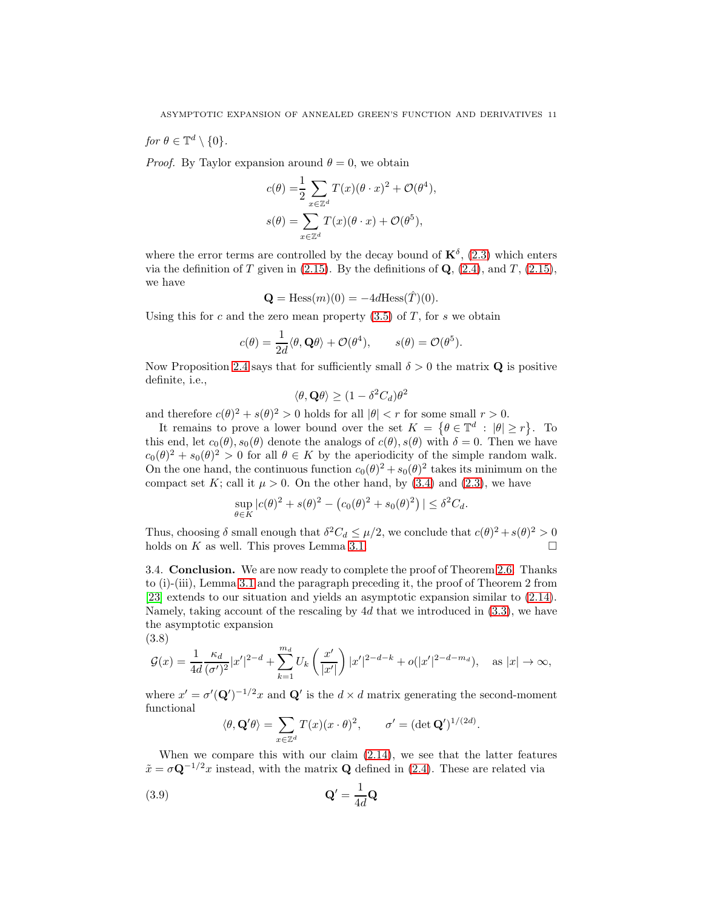for  $\theta \in \mathbb{T}^d \setminus \{0\}.$ 

(3.8)

*Proof.* By Taylor expansion around  $\theta = 0$ , we obtain

$$
c(\theta) = \frac{1}{2} \sum_{x \in \mathbb{Z}^d} T(x)(\theta \cdot x)^2 + \mathcal{O}(\theta^4),
$$
  

$$
s(\theta) = \sum_{x \in \mathbb{Z}^d} T(x)(\theta \cdot x) + \mathcal{O}(\theta^5),
$$

where the error terms are controlled by the decay bound of  $\mathbf{K}^{\delta}$ , [\(2.3\)](#page-3-2) which enters via the definition of T given in  $(2.15)$ . By the definitions of Q,  $(2.4)$ , and T,  $(2.15)$ , we have

$$
\mathbf{Q} = \text{Hess}(m)(0) = -4d\text{Hess}(\hat{T})(0).
$$

Using this for c and the zero mean property  $(3.5)$  of T, for s we obtain

$$
c(\theta) = \frac{1}{2d} \langle \theta, \mathbf{Q}\theta \rangle + \mathcal{O}(\theta^4), \qquad s(\theta) = \mathcal{O}(\theta^5).
$$

Now Proposition [2.4](#page-3-5) says that for sufficiently small  $\delta > 0$  the matrix **Q** is positive definite, i.e.,

$$
\langle \theta, \mathbf{Q} \theta \rangle \ge (1 - \delta^2 C_d) \theta^2
$$

and therefore  $c(\theta)^2 + s(\theta)^2 > 0$  holds for all  $|\theta| < r$  for some small  $r > 0$ .

It remains to prove a lower bound over the set  $K = \{ \theta \in \mathbb{T}^d : |\theta| \geq r \}.$  To this end, let  $c_0(\theta)$ ,  $s_0(\theta)$  denote the analogs of  $c(\theta)$ ,  $s(\theta)$  with  $\delta = 0$ . Then we have  $c_0(\theta)^2 + s_0(\theta)^2 > 0$  for all  $\theta \in K$  by the aperiodicity of the simple random walk. On the one hand, the continuous function  $c_0(\theta)^2 + s_0(\theta)^2$  takes its minimum on the compact set K; call it  $\mu > 0$ . On the other hand, by [\(3.4\)](#page-8-3) and [\(2.3\)](#page-3-2), we have

$$
\sup_{\theta \in K} |c(\theta)|^2 + s(\theta)^2 - (c_0(\theta))^2 + s_0(\theta)^2| \le \delta^2 C_d.
$$

Thus, choosing  $\delta$  small enough that  $\delta^2 C_d \leq \mu/2$ , we conclude that  $c(\theta)^2 + s(\theta)^2 > 0$ holds on K as well. This proves Lemma [3.1.](#page-9-3)

3.4. Conclusion. We are now ready to complete the proof of Theorem [2.6.](#page-5-0) Thanks to (i)-(iii), Lemma [3.1](#page-9-3) and the paragraph preceding it, the proof of Theorem 2 from [\[23\]](#page-14-10) extends to our situation and yields an asymptotic expansion similar to [\(2.14\)](#page-5-1). Namely, taking account of the rescaling by  $4d$  that we introduced in  $(3.3)$ , we have the asymptotic expansion

<span id="page-10-1"></span>
$$
\mathcal{G}(x) = \frac{1}{4d} \frac{\kappa_d}{(\sigma')^2} |x'|^{2-d} + \sum_{k=1}^{m_d} U_k \left(\frac{x'}{|x'|}\right) |x'|^{2-d-k} + o(|x'|^{2-d-m_d}), \text{ as } |x| \to \infty,
$$

where  $x' = \sigma'(\mathbf{Q}')^{-1/2}x$  and  $\mathbf{Q}'$  is the  $d \times d$  matrix generating the second-moment functional

<span id="page-10-0"></span>
$$
\langle \theta, \mathbf{Q}'\theta \rangle = \sum_{x \in \mathbb{Z}^d} T(x)(x \cdot \theta)^2, \qquad \sigma' = (\det \mathbf{Q}')^{1/(2d)}.
$$

When we compare this with our claim [\(2.14\)](#page-5-1), we see that the latter features  $\tilde{x} = \sigma \mathbf{Q}^{-1/2}x$  instead, with the matrix **Q** defined in [\(2.4\)](#page-3-3). These are related via

$$
\mathbf{Q}' = \frac{1}{4d}\mathbf{Q}
$$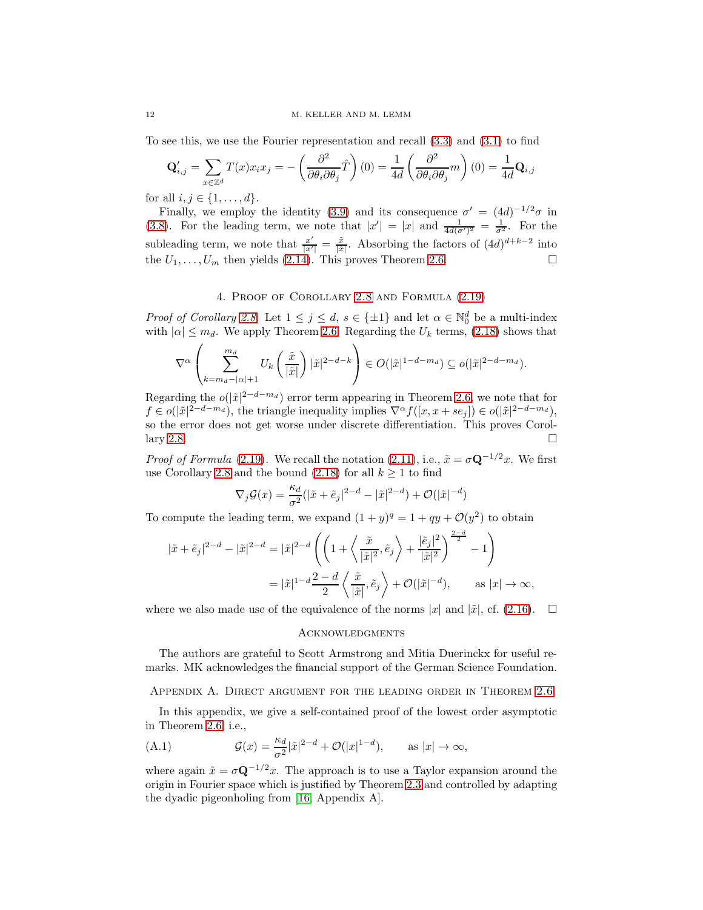To see this, we use the Fourier representation and recall [\(3.3\)](#page-8-2) and [\(3.1\)](#page-8-0) to find

$$
\mathbf{Q}'_{i,j} = \sum_{x \in \mathbb{Z}^d} T(x)x_i x_j = -\left(\frac{\partial^2}{\partial \theta_i \partial \theta_j} \hat{T}\right)(0) = \frac{1}{4d} \left(\frac{\partial^2}{\partial \theta_i \partial \theta_j} m\right)(0) = \frac{1}{4d} \mathbf{Q}_{i,j}
$$

for all  $i, j \in \{1, ..., d\}$ .

Finally, we employ the identity [\(3.9\)](#page-10-0) and its consequence  $\sigma' = (4d)^{-1/2}\sigma$  in [\(3.8\)](#page-10-1). For the leading term, we note that  $|x'| = |x|$  and  $\frac{1}{4d(\sigma')^2} = \frac{1}{\sigma^2}$ . For the subleading term, we note that  $\frac{x'}{x'}$  $\frac{x'}{|x'|} = \frac{\tilde{x}}{|\tilde{x}|}$ . Absorbing the factors of  $(4d)^{d+k-2}$  into the  $U_1, \ldots, U_m$  then yields [\(2.14\)](#page-5-1). This proves Theorem [2.6.](#page-5-0)

# 4. Proof of Corollary [2.8](#page-6-0) and Formula [\(2.19\)](#page-7-2)

<span id="page-11-0"></span>*Proof of Corollary [2.8.](#page-6-0)* Let  $1 \leq j \leq d$ ,  $s \in \{\pm 1\}$  and let  $\alpha \in \mathbb{N}_0^d$  be a multi-index with  $|\alpha| \leq m_d$ . We apply Theorem [2.6.](#page-5-0) Regarding the  $U_k$  terms, [\(2.18\)](#page-7-3) shows that

$$
\nabla^{\alpha}\left(\sum_{k=m_d-|\alpha|+1}^{m_d} U_k\left(\frac{\tilde{x}}{|\tilde{x}|}\right) |\tilde{x}|^{2-d-k}\right) \in O(|\tilde{x}|^{1-d-m_d}) \subseteq o(|\tilde{x}|^{2-d-m_d}).
$$

Regarding the  $o(|\tilde{x}|^{2-d-m_d})$  error term appearing in Theorem [2.6,](#page-5-0) we note that for  $f \in o(|\tilde{x}|^{2-d-m_d})$ , the triangle inequality implies  $\nabla^{\alpha} f([x, x + s e_j]) \in o(|\tilde{x}|^{2-d-m_d})$ , so the error does not get worse under discrete differentiation. This proves Corol-lary [2.8.](#page-6-0)  $\Box$ 

*Proof of Formula* [\(2.19\)](#page-7-2). We recall the notation [\(2.11\)](#page-5-2), i.e.,  $\tilde{x} = \sigma \mathbf{Q}^{-1/2}x$ . We first use Corollary [2.8](#page-6-0) and the bound [\(2.18\)](#page-7-3) for all  $k \ge 1$  to find

$$
\nabla_j \mathcal{G}(x) = \frac{\kappa_d}{\sigma^2} (|\tilde{x} + \tilde{e}_j|^{2-d} - |\tilde{x}|^{2-d}) + \mathcal{O}(|\tilde{x}|^{-d})
$$

To compute the leading term, we expand  $(1 + y)^q = 1 + qy + \mathcal{O}(y^2)$  to obtain

$$
\begin{split} |\tilde{x}+\tilde{e}_j|^{2-d}-|\tilde{x}|^{2-d}&=|\tilde{x}|^{2-d}\left(\left(1+\left\langle\frac{\tilde{x}}{|\tilde{x}|^2},\tilde{e}_j\right\rangle+\frac{|\tilde{e}_j|^2}{|\tilde{x}|^2}\right)^{\frac{2-d}{2}}-1\right)\\ &=|\tilde{x}|^{1-d}\frac{2-d}{2}\left\langle\frac{\tilde{x}}{|\tilde{x}|},\tilde{e}_j\right\rangle+\mathcal{O}(|\tilde{x}|^{-d}),\qquad \text{as } |x|\to\infty, \end{split}
$$

where we also made use of the equivalence of the norms |x| and | $\tilde{x}$ |, cf. [\(2.16\)](#page-6-2).  $\Box$ 

#### **ACKNOWLEDGMENTS**

The authors are grateful to Scott Armstrong and Mitia Duerinckx for useful remarks. MK acknowledges the financial support of the German Science Foundation.

## <span id="page-11-1"></span>Appendix A. Direct argument for the leading order in Theorem [2.6](#page-5-0)

In this appendix, we give a self-contained proof of the lowest order asymptotic in Theorem [2.6,](#page-5-0) i.e.,

<span id="page-11-2"></span>(A.1) 
$$
\mathcal{G}(x) = \frac{\kappa_d}{\sigma^2} |\tilde{x}|^{2-d} + \mathcal{O}(|x|^{1-d}), \quad \text{as } |x| \to \infty,
$$

where again  $\tilde{x} = \sigma \mathbf{Q}^{-1/2}x$ . The approach is to use a Taylor expansion around the origin in Fourier space which is justified by Theorem [2.3](#page-3-0) and controlled by adapting the dyadic pigeonholing from [\[16,](#page-14-4) Appendix A].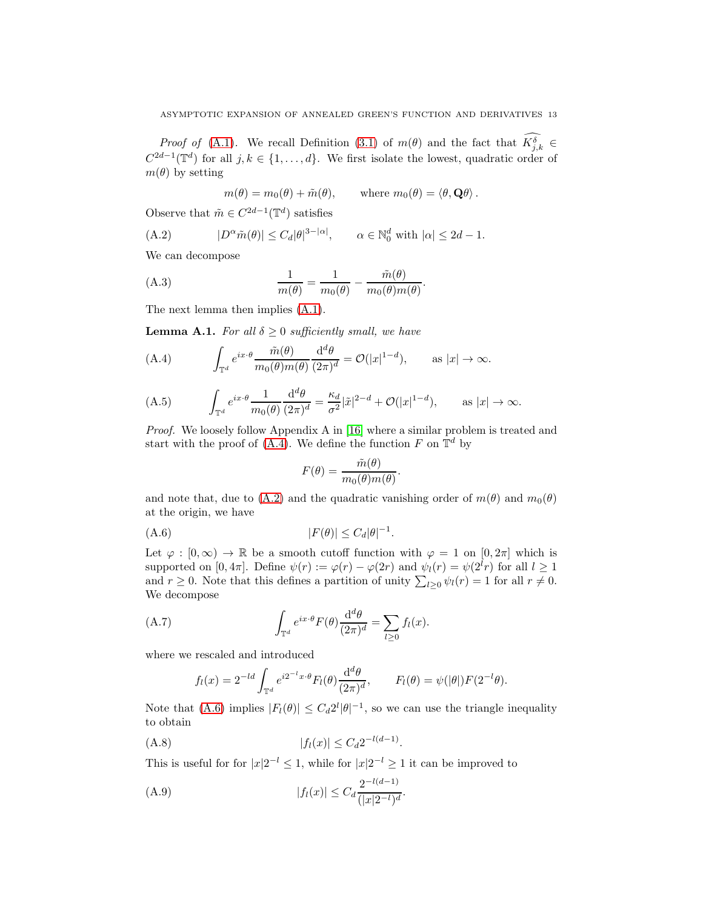*Proof of* [\(A.1\)](#page-11-2). We recall Definition [\(3.1\)](#page-8-0) of  $m(\theta)$  and the fact that  $K_{j,k}^{\delta} \in$  $C^{2d-1}(\mathbb{T}^d)$  for all  $j, k \in \{1, ..., d\}$ . We first isolate the lowest, quadratic order of  $m(\theta)$  by setting

<span id="page-12-1"></span> $m(\theta) = m_0(\theta) + \tilde{m}(\theta), \quad \text{where } m_0(\theta) = \langle \theta, \mathbf{Q}\theta \rangle.$ 

Observe that  $\tilde{m} \in C^{2d-1}(\mathbb{T}^d)$  satisfies

(A.2) 
$$
|D^{\alpha}\tilde{m}(\theta)| \leq C_d |\theta|^{3-|\alpha|}, \qquad \alpha \in \mathbb{N}_0^d \text{ with } |\alpha| \leq 2d-1.
$$

We can decompose

(A.3) 
$$
\frac{1}{m(\theta)} = \frac{1}{m_0(\theta)} - \frac{\tilde{m}(\theta)}{m_0(\theta)m(\theta)}.
$$

The next lemma then implies [\(A.1\)](#page-11-2).

<span id="page-12-7"></span>**Lemma A.1.** For all  $\delta \geq 0$  sufficiently small, we have

<span id="page-12-0"></span>(A.4) 
$$
\int_{\mathbb{T}^d} e^{ix \cdot \theta} \frac{\tilde{m}(\theta)}{m_0(\theta)m(\theta)} \frac{\mathrm{d}^d \theta}{(2\pi)^d} = \mathcal{O}(|x|^{1-d}), \quad \text{as } |x| \to \infty.
$$

<span id="page-12-6"></span>(A.5) 
$$
\int_{\mathbb{T}^d} e^{ix \cdot \theta} \frac{1}{m_0(\theta)} \frac{\mathrm{d}^d \theta}{(2\pi)^d} = \frac{\kappa_d}{\sigma^2} |\tilde{x}|^{2-d} + \mathcal{O}(|x|^{1-d}), \quad \text{as } |x| \to \infty.
$$

Proof. We loosely follow Appendix A in [\[16\]](#page-14-4) where a similar problem is treated and start with the proof of [\(A.4\)](#page-12-0). We define the function F on  $\mathbb{T}^d$  by

<span id="page-12-2"></span>
$$
F(\theta) = \frac{\tilde{m}(\theta)}{m_0(\theta)m(\theta)}.
$$

and note that, due to [\(A.2\)](#page-12-1) and the quadratic vanishing order of  $m(\theta)$  and  $m_0(\theta)$ at the origin, we have

$$
(A.6) \t\t\t |F(\theta)| \leq C_d |\theta|^{-1}.
$$

Let  $\varphi : [0, \infty) \to \mathbb{R}$  be a smooth cutoff function with  $\varphi = 1$  on  $[0, 2\pi]$  which is supported on  $[0, 4\pi]$ . Define  $\psi(r) := \varphi(r) - \varphi(2r)$  and  $\psi_l(r) = \psi(2^l r)$  for all  $l \geq 1$ and  $r \geq 0$ . Note that this defines a partition of unity  $\sum_{l\geq 0} \psi_l(r) = 1$  for all  $r \neq 0$ . We decompose

(A.7) 
$$
\int_{\mathbb{T}^d} e^{ix \cdot \theta} F(\theta) \frac{d^d \theta}{(2\pi)^d} = \sum_{l \ge 0} f_l(x).
$$

where we rescaled and introduced

<span id="page-12-5"></span><span id="page-12-4"></span>
$$
f_l(x) = 2^{-ld} \int_{\mathbb{T}^d} e^{i2^{-l}x \cdot \theta} F_l(\theta) \frac{\mathrm{d}^d \theta}{(2\pi)^d}, \qquad F_l(\theta) = \psi(|\theta|) F(2^{-l}\theta).
$$

Note that [\(A.6\)](#page-12-2) implies  $|F_l(\theta)| \leq C_d 2^l |\theta|^{-1}$ , so we can use the triangle inequality to obtain

$$
(A.8) \t\t |f_l(x)| \le C_d 2^{-l(d-1)}.
$$

This is useful for for  $|x|2^{-l} \leq 1$ , while for  $|x|2^{-l} \geq 1$  it can be improved to

<span id="page-12-3"></span>(A.9) 
$$
|f_l(x)| \leq C_d \frac{2^{-l(d-1)}}{(|x|2^{-l})^d}.
$$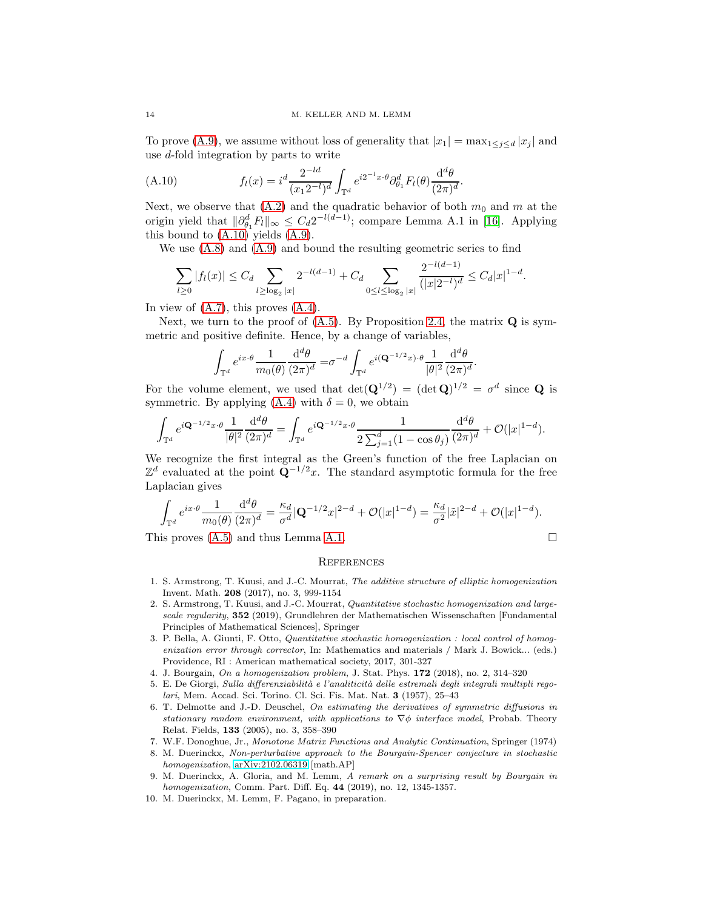To prove [\(A.9\)](#page-12-3), we assume without loss of generality that  $|x_1| = \max_{1 \leq i \leq d} |x_i|$  and use d-fold integration by parts to write

<span id="page-13-10"></span>(A.10) 
$$
f_l(x) = i^d \frac{2^{-ld}}{(x_1 2^{-l})^d} \int_{\mathbb{T}^d} e^{i 2^{-l} x \cdot \theta} \partial_{\theta_1}^d F_l(\theta) \frac{d^d \theta}{(2\pi)^d}.
$$

Next, we observe that  $(A.2)$  and the quadratic behavior of both  $m_0$  and m at the origin yield that  $\|\partial_{\theta_1}^d F_l\|_{\infty} \leq C_d 2^{-l(d-1)}$ ; compare Lemma A.1 in [\[16\]](#page-14-4). Applying this bound to  $(A.10)$  yields  $(A.9)$ .

We use [\(A.8\)](#page-12-4) and [\(A.9\)](#page-12-3) and bound the resulting geometric series to find

$$
\sum_{l\geq 0} |f_l(x)| \leq C_d \sum_{l\geq \log_2 |x|} 2^{-l(d-1)} + C_d \sum_{0 \leq l \leq \log_2 |x|} \frac{2^{-l(d-1)}}{(|x|2^{-l})^d} \leq C_d |x|^{1-d}.
$$

−l(d−1)

In view of  $(A.7)$ , this proves  $(A.4)$ .

Next, we turn to the proof of  $(A.5)$ . By Proposition [2.4,](#page-3-5) the matrix  $Q$  is symmetric and positive definite. Hence, by a change of variables,

$$
\int_{\mathbb{T}^d} e^{ix\cdot\theta} \frac{1}{m_0(\theta)} \frac{\mathrm{d}^d \theta}{(2\pi)^d} = \sigma^{-d} \int_{\mathbb{T}^d} e^{i(\mathbf{Q}^{-1/2}x)\cdot\theta} \frac{1}{|\theta|^2} \frac{\mathrm{d}^d \theta}{(2\pi)^d}.
$$

For the volume element, we used that  $\det(\mathbf{Q}^{1/2}) = (\det \mathbf{Q})^{1/2} = \sigma^d$  since **Q** is symmetric. By applying  $(A.4)$  with  $\delta = 0$ , we obtain

$$
\int_{\mathbb{T}^d} e^{i\mathbf{Q}^{-1/2}x\cdot\theta} \frac{1}{|\theta|^2} \frac{\mathrm{d}^d\theta}{(2\pi)^d} = \int_{\mathbb{T}^d} e^{i\mathbf{Q}^{-1/2}x\cdot\theta} \frac{1}{2\sum_{j=1}^d (1-\cos\theta_j)} \frac{\mathrm{d}^d\theta}{(2\pi)^d} + \mathcal{O}(|x|^{1-d}).
$$

We recognize the first integral as the Green's function of the free Laplacian on  $\mathbb{Z}^d$  evaluated at the point  $\mathbf{Q}^{-1/2}x$ . The standard asymptotic formula for the free Laplacian gives

$$
\int_{\mathbb{T}^d} e^{ix\cdot\theta} \frac{1}{m_0(\theta)} \frac{\mathrm{d}^d\theta}{(2\pi)^d} = \frac{\kappa_d}{\sigma^d} |\mathbf{Q}^{-1/2}x|^{2-d} + \mathcal{O}(|x|^{1-d}) = \frac{\kappa_d}{\sigma^2} |\tilde{x}|^{2-d} + \mathcal{O}(|x|^{1-d}).
$$

This proves [\(A.5\)](#page-12-6) and thus Lemma [A.1.](#page-12-7)

$$
\Box
$$

## **REFERENCES**

- <span id="page-13-1"></span>1. S. Armstrong, T. Kuusi, and J.-C. Mourrat, The additive structure of elliptic homogenization Invent. Math. 208 (2017), no. 3, 999-1154
- <span id="page-13-2"></span>2. S. Armstrong, T. Kuusi, and J.-C. Mourrat, Quantitative stochastic homogenization and largescale regularity, 352 (2019), Grundlehren der Mathematischen Wissenschaften [Fundamental Principles of Mathematical Sciences], Springer
- <span id="page-13-3"></span>3. P. Bella, A. Giunti, F. Otto, Quantitative stochastic homogenization : local control of homogenization error through corrector, In: Mathematics and materials / Mark J. Bowick... (eds.) Providence, RI : American mathematical society, 2017, 301-327
- <span id="page-13-4"></span><span id="page-13-0"></span>4. J. Bourgain, On a homogenization problem, J. Stat. Phys. 172 (2018), no. 2, 314–320
- 5. E. De Giorgi, Sulla differenziabilità e l'analiticità delle estremali degli integrali multipli regolari, Mem. Accad. Sci. Torino. Cl. Sci. Fis. Mat. Nat. 3 (1957), 25–43
- <span id="page-13-8"></span>6. T. Delmotte and J.-D. Deuschel, On estimating the derivatives of symmetric diffusions in stationary random environment, with applications to  $\nabla \phi$  interface model, Probab. Theory Relat. Fields, 133 (2005), no. 3, 358–390
- <span id="page-13-9"></span><span id="page-13-6"></span>7. W.F. Donoghue, Jr., Monotone Matrix Functions and Analytic Continuation, Springer (1974)
- 8. M. Duerinckx, Non-perturbative approach to the Bourgain-Spencer conjecture in stochastic homogenization, [arXiv:2102.06319](http://arxiv.org/abs/2102.06319) [math.AP]
- <span id="page-13-5"></span>9. M. Duerinckx, A. Gloria, and M. Lemm, A remark on a surprising result by Bourgain in homogenization, Comm. Part. Diff. Eq. 44 (2019), no. 12, 1345-1357.
- <span id="page-13-7"></span>10. M. Duerinckx, M. Lemm, F. Pagano, in preparation.